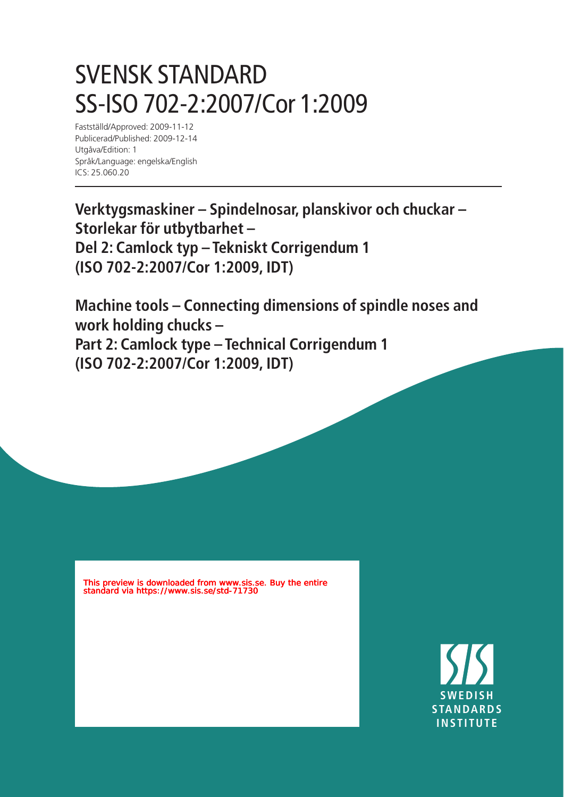# SVENSK STANDARD SS-ISO 702-2:2007/Cor 1:2009

Fastställd/Approved: 2009-11-12 Publicerad/Published: 2009-12-14 Utgåva/Edition: 1 Språk/Language: engelska/English ICS: 25.060.20

**Verktygsmaskiner – Spindelnosar, planskivor och chuckar – Storlekar för utbytbarhet – Del 2: Camlock typ – Tekniskt Corrigendum 1 (ISO 702-2:2007/Cor 1:2009, IDT)**

**Machine tools – Connecting dimensions of spindle noses and work holding chucks – Part 2: Camlock type – Technical Corrigendum 1 (ISO 702-2:2007/Cor 1:2009, IDT)**

This preview is downloaded from www.sis.se. Buy the entire standard via https://www.sis.se/std-71730

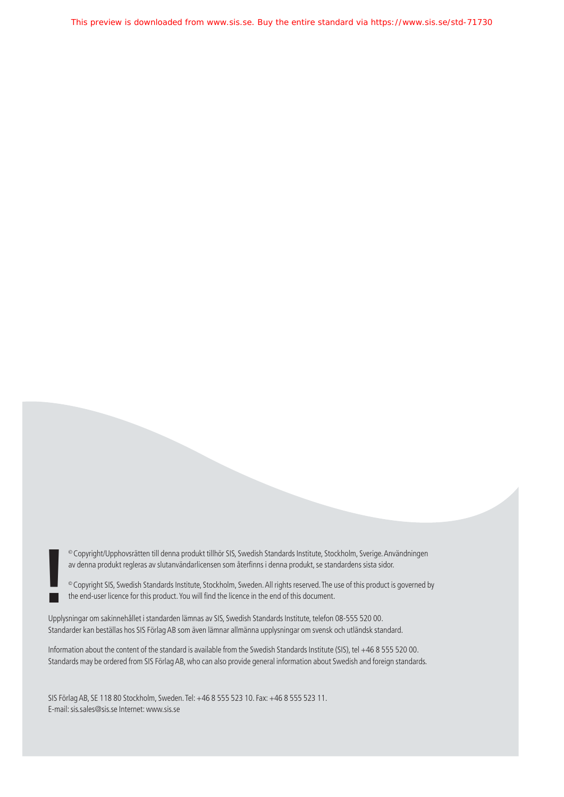This preview is downloaded from www.sis.se. Buy the entire standard via https://www.sis.se/std-71730

<sup>©</sup> Copyright/Upphovsrätten till denna produkt tillhör SIS, Swedish Standards Institute, Stockholm, Sverige. Användningen<br>av denna produkt regleras av slutanvändarlicensen som återfinns i denna produkt, se standardens sis av denna produkt regleras av slutanvändarlicensen som återfinns i denna produkt, se standardens sista sidor.

Upplysningar om sakinnehållet i standarden lämnas av SIS, Swedish Standards Institute, telefon 08-555 520 00. Standarder kan beställas hos SIS Förlag AB som även lämnar allmänna upplysningar om svensk och utländsk standard.

Information about the content of the standard is available from the Swedish Standards Institute (SIS), tel +46 8 555 520 00. Standards may be ordered from SIS Förlag AB, who can also provide general information about Swedish and foreign standards.

SIS Förlag AB, SE 118 80 Stockholm, Sweden. Tel: +46 8 555 523 10. Fax: +46 8 555 523 11. E-mail: sis.sales@sis.se Internet: www.sis.se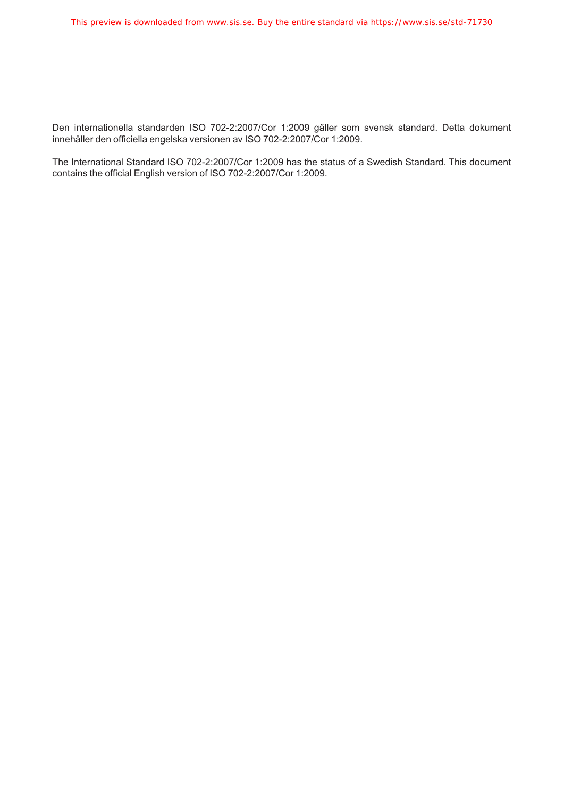Den internationella standarden ISO 702-2:2007/Cor 1:2009 gäller som svensk standard. Detta dokument innehåller den officiella engelska versionen av ISO 702-2:2007/Cor 1:2009.

The International Standard ISO 702-2:2007/Cor 1:2009 has the status of a Swedish Standard. This document contains the official English version of ISO 702-2:2007/Cor 1:2009.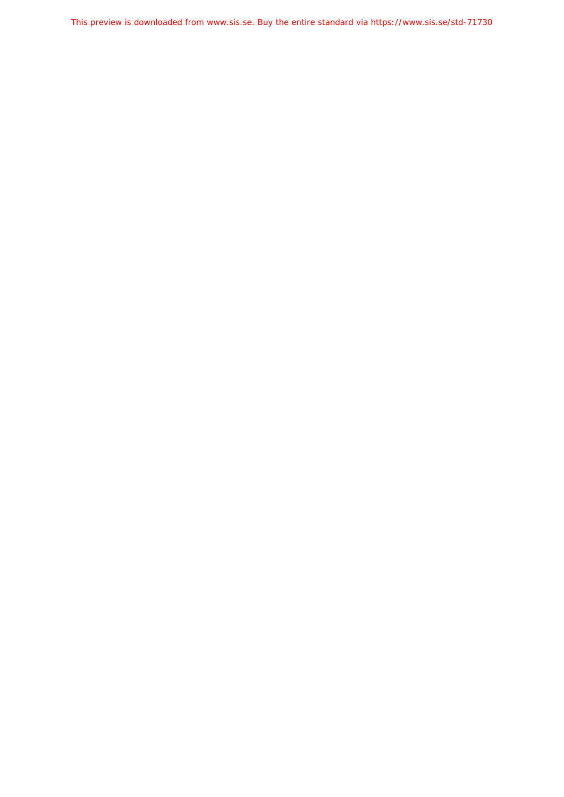This preview is downloaded from www.sis.se. Buy the entire standard via https://www.sis.se/std-71730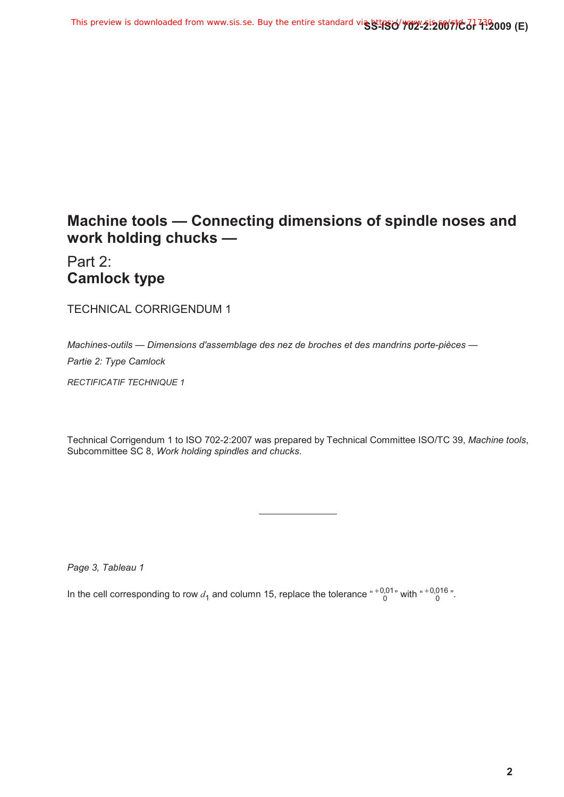## **Machine tools — Connecting dimensions of spindle noses and work holding chucks —**

Part 2: **Camlock type** 

TECHNICAL CORRIGENDUM 1

*Machines-outils — Dimensions d'assemblage des nez de broches et des mandrins porte-pièces — Partie 2: Type Camlock RECTIFICATIF TECHNIQUE 1*

Technical Corrigendum 1 to ISO 702-2:2007 was prepared by Technical Committee ISO/TC 39, *Machine tools*, Subcommittee SC 8, *Work holding spindles and chucks*.

*Page 3, Tableau 1* 

In the cell corresponding to row  $d_1$  and column 15, replace the tolerance  $\frac{40,01}{0}$  with  $\frac{40,016}{0}$  ".

 $\overline{a}$